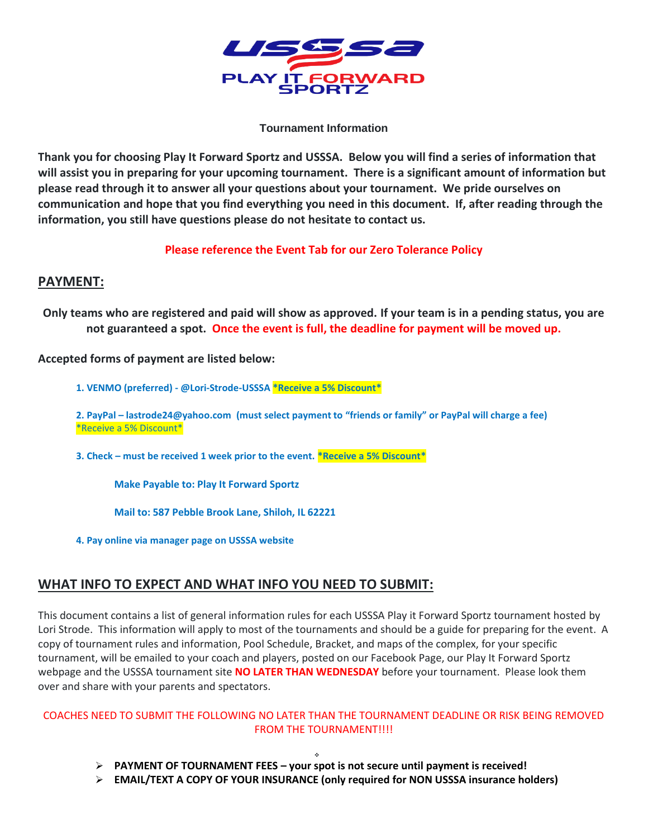

#### **Tournament Information**

**Thank you for choosing Play It Forward Sportz and USSSA. Below you will find a series of information that will assist you in preparing for your upcoming tournament. There is a significant amount of information but please read through it to answer all your questions about your tournament. We pride ourselves on communication and hope that you find everything you need in this document. If, after reading through the information, you still have questions please do not hesitate to contact us.**

#### **Please reference the Event Tab for our Zero Tolerance Policy**

#### **PAYMENT:**

**Only teams who are registered and paid will show as approved. If your team is in a pending status, you are not guaranteed a spot. Once the event is full, the deadline for payment will be moved up.** 

**Accepted forms of payment are listed below:**

**1. VENMO (preferred) - @Lori-Strode-USSSA \*Receive a 5% Discount\***

**2. PayPal – lastrode24@yahoo.com (must select payment to "friends or family" or PayPal will charge a fee)**  \*Receive a 5% Discount\*

**3. Check – must be received 1 week prior to the event. \*Receive a 5% Discount\***

**Make Payable to: Play It Forward Sportz**

**Mail to: 587 Pebble Brook Lane, Shiloh, IL 62221**

**4. Pay online via manager page on USSSA website**

## **WHAT INFO TO EXPECT AND WHAT INFO YOU NEED TO SUBMIT:**

This document contains a list of general information rules for each USSSA Play it Forward Sportz tournament hosted by Lori Strode. This information will apply to most of the tournaments and should be a guide for preparing for the event. A copy of tournament rules and information, Pool Schedule, Bracket, and maps of the complex, for your specific tournament, will be emailed to your coach and players, posted on our Facebook Page, our Play It Forward Sportz webpage and the USSSA tournament site **NO LATER THAN WEDNESDAY** before your tournament. Please look them over and share with your parents and spectators.

#### COACHES NEED TO SUBMIT THE FOLLOWING NO LATER THAN THE TOURNAMENT DEADLINE OR RISK BEING REMOVED FROM THE TOURNAMENT!!!!

- ❖ ➢ **PAYMENT OF TOURNAMENT FEES – your spot is not secure until payment is received!**
- ➢ **EMAIL/TEXT A COPY OF YOUR INSURANCE (only required for NON USSSA insurance holders)**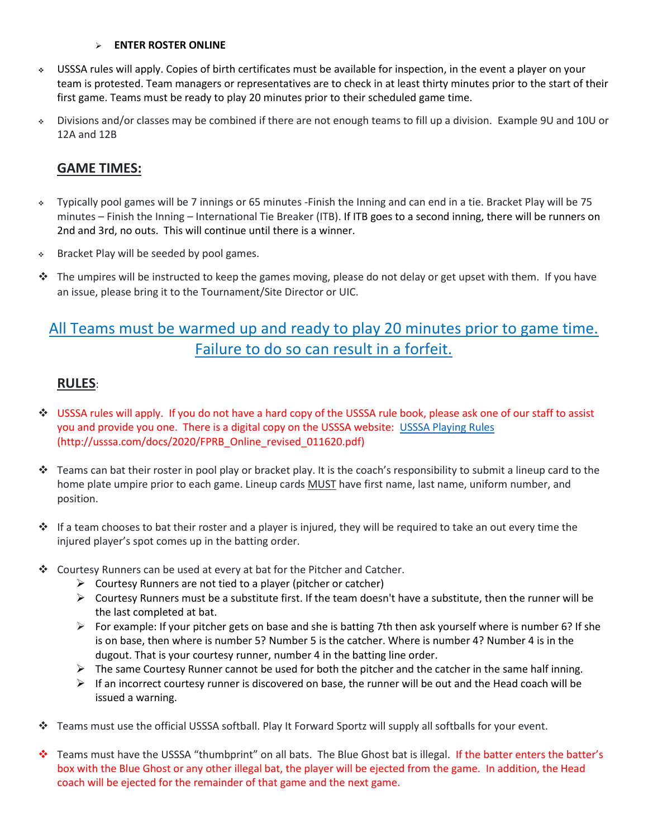#### ➢ **ENTER ROSTER ONLINE**

- ❖ USSSA rules will apply. Copies of birth certificates must be available for inspection, in the event a player on your team is protested. Team managers or representatives are to check in at least thirty minutes prior to the start of their first game. Teams must be ready to play 20 minutes prior to their scheduled game time.
- ❖ Divisions and/or classes may be combined if there are not enough teams to fill up a division. Example 9U and 10U or 12A and 12B

## **GAME TIMES:**

- ❖ Typically pool games will be 7 innings or 65 minutes -Finish the Inning and can end in a tie. Bracket Play will be 75 minutes – Finish the Inning – International Tie Breaker (ITB). If ITB goes to a second inning, there will be runners on 2nd and 3rd, no outs. This will continue until there is a winner.
- ❖ Bracket Play will be seeded by pool games.
- ❖ The umpires will be instructed to keep the games moving, please do not delay or get upset with them. If you have an issue, please bring it to the Tournament/Site Director or UIC.

# All Teams must be warmed up and ready to play 20 minutes prior to game time. Failure to do so can result in a forfeit.

## **RULES**:

- ❖ USSSA rules will apply. If you do not have a hard copy of the USSSA rule book, please ask one of our staff to assist you and provide you one. There is a digital copy on the USSSA website: [USSSA Playing Rules](http://usssa.com/docs/2020/FPRB_Online_revised_011620.pdf) (http://usssa.com/docs/2020/FPRB\_Online\_revised\_011620.pdf)
- ❖ Teams can bat their roster in pool play or bracket play. It is the coach's responsibility to submit a lineup card to the home plate umpire prior to each game. Lineup cards MUST have first name, last name, uniform number, and position.
- ❖ If a team chooses to bat their roster and a player is injured, they will be required to take an out every time the injured player's spot comes up in the batting order.
- ❖ Courtesy Runners can be used at every at bat for the Pitcher and Catcher.
	- $\triangleright$  Courtesy Runners are not tied to a player (pitcher or catcher)
	- ➢ Courtesy Runners must be a substitute first. If the team doesn't have a substitute, then the runner will be the last completed at bat.
	- $\triangleright$  For example: If your pitcher gets on base and she is batting 7th then ask yourself where is number 6? If she is on base, then where is number 5? Number 5 is the catcher. Where is number 4? Number 4 is in the dugout. That is your courtesy runner, number 4 in the batting line order.
	- $\triangleright$  The same Courtesy Runner cannot be used for both the pitcher and the catcher in the same half inning.
	- $\triangleright$  If an incorrect courtesy runner is discovered on base, the runner will be out and the Head coach will be issued a warning.
- ❖ Teams must use the official USSSA softball. Play It Forward Sportz will supply all softballs for your event.
- ❖ Teams must have the USSSA "thumbprint" on all bats. The Blue Ghost bat is illegal. If the batter enters the batter's box with the Blue Ghost or any other illegal bat, the player will be ejected from the game. In addition, the Head coach will be ejected for the remainder of that game and the next game.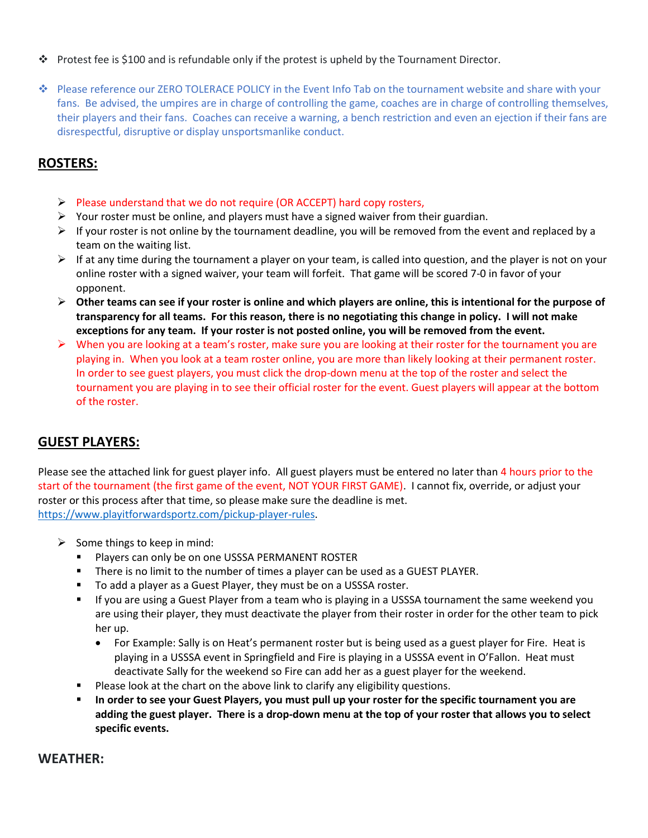- ❖ Protest fee is \$100 and is refundable only if the protest is upheld by the Tournament Director.
- ❖ Please reference our ZERO TOLERACE POLICY in the Event Info Tab on the tournament website and share with your fans. Be advised, the umpires are in charge of controlling the game, coaches are in charge of controlling themselves, their players and their fans. Coaches can receive a warning, a bench restriction and even an ejection if their fans are disrespectful, disruptive or display unsportsmanlike conduct.

## **ROSTERS:**

- ➢ Please understand that we do not require (OR ACCEPT) hard copy rosters,
- $\triangleright$  Your roster must be online, and players must have a signed waiver from their guardian.
- $\triangleright$  If your roster is not online by the tournament deadline, you will be removed from the event and replaced by a team on the waiting list.
- $\triangleright$  If at any time during the tournament a player on your team, is called into question, and the player is not on your online roster with a signed waiver, your team will forfeit. That game will be scored 7-0 in favor of your opponent.
- ➢ **Other teams can see if your roster is online and which players are online, this is intentional for the purpose of transparency for all teams. For this reason, there is no negotiating this change in policy. I will not make exceptions for any team. If your roster is not posted online, you will be removed from the event.**
- $\triangleright$  When you are looking at a team's roster, make sure you are looking at their roster for the tournament you are playing in. When you look at a team roster online, you are more than likely looking at their permanent roster. In order to see guest players, you must click the drop-down menu at the top of the roster and select the tournament you are playing in to see their official roster for the event. Guest players will appear at the bottom of the roster.

## **GUEST PLAYERS:**

Please see the attached link for guest player info. All guest players must be entered no later than 4 hours prior to the start of the tournament (the first game of the event, NOT YOUR FIRST GAME). I cannot fix, override, or adjust your roster or this process after that time, so please make sure the deadline is met. [https://www.playitforwardsportz.com/pickup-player-rules.](https://www.playitforwardsportz.com/pickup-player-rules)

- $\triangleright$  Some things to keep in mind:
	- **E** Players can only be on one USSSA PERMANENT ROSTER
	- **•** There is no limit to the number of times a player can be used as a GUEST PLAYER.
	- To add a player as a Guest Player, they must be on a USSSA roster.
	- If you are using a Guest Player from a team who is playing in a USSSA tournament the same weekend you are using their player, they must deactivate the player from their roster in order for the other team to pick her up.
		- For Example: Sally is on Heat's permanent roster but is being used as a guest player for Fire. Heat is playing in a USSSA event in Springfield and Fire is playing in a USSSA event in O'Fallon. Heat must deactivate Sally for the weekend so Fire can add her as a guest player for the weekend.
	- Please look at the chart on the above link to clarify any eligibility questions.
	- In order to see your Guest Players, you must pull up your roster for the specific tournament you are **adding the guest player. There is a drop-down menu at the top of your roster that allows you to select specific events.**

#### **WEATHER:**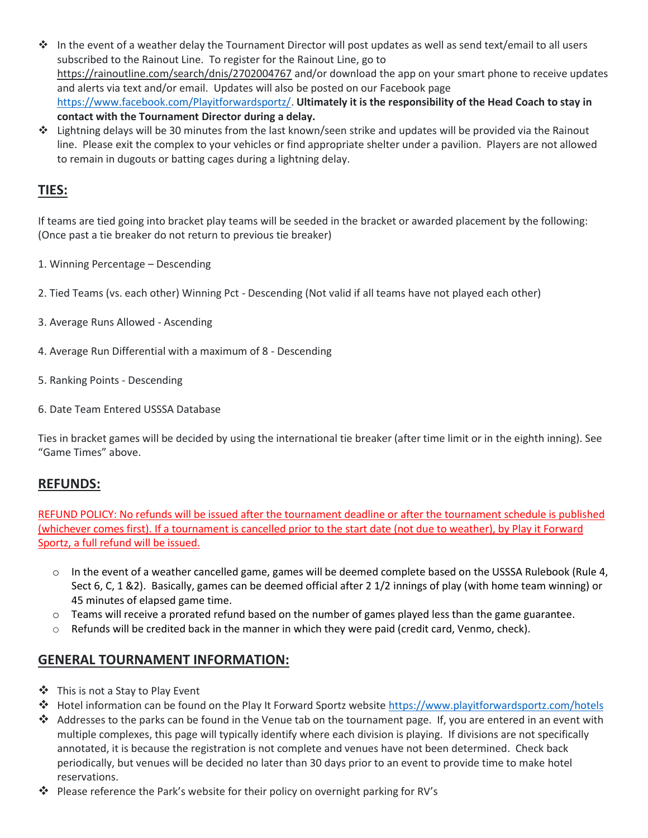- ❖ In the event of a weather delay the Tournament Director will post updates as well as send text/email to all users subscribed to the Rainout Line. To register for the Rainout Line, go to https://rainoutline.com/search/dnis/2702004767 and/or download the app on your smart phone to receive updates and alerts via text and/or email. Updates will also be posted on our Facebook page [https://www.facebook.com/Playitforwardsportz/.](https://www.facebook.com/Playitforwardsportz/) **Ultimately it is the responsibility of the Head Coach to stay in contact with the Tournament Director during a delay.**
- ❖ Lightning delays will be 30 minutes from the last known/seen strike and updates will be provided via the Rainout line. Please exit the complex to your vehicles or find appropriate shelter under a pavilion. Players are not allowed to remain in dugouts or batting cages during a lightning delay.

# **TIES:**

If teams are tied going into bracket play teams will be seeded in the bracket or awarded placement by the following: (Once past a tie breaker do not return to previous tie breaker)

- 1. Winning Percentage Descending
- 2. Tied Teams (vs. each other) Winning Pct Descending (Not valid if all teams have not played each other)
- 3. Average Runs Allowed Ascending
- 4. Average Run Differential with a maximum of 8 Descending
- 5. Ranking Points Descending
- 6. Date Team Entered USSSA Database

Ties in bracket games will be decided by using the international tie breaker (after time limit or in the eighth inning). See "Game Times" above.

#### **REFUNDS:**

REFUND POLICY: No refunds will be issued after the tournament deadline or after the tournament schedule is published (whichever comes first). If a tournament is cancelled prior to the start date (not due to weather), by Play it Forward Sportz, a full refund will be issued.

- $\circ$  In the event of a weather cancelled game, games will be deemed complete based on the USSSA Rulebook (Rule 4, Sect 6, C, 1 &2). Basically, games can be deemed official after 2 1/2 innings of play (with home team winning) or 45 minutes of elapsed game time.
- $\circ$  Teams will receive a prorated refund based on the number of games played less than the game guarantee.
- o Refunds will be credited back in the manner in which they were paid (credit card, Venmo, check).

## **GENERAL TOURNAMENT INFORMATION:**

- ❖ This is not a Stay to Play Event
- ❖ Hotel information can be found on the Play It Forward Sportz website<https://www.playitforwardsportz.com/hotels>
- ❖ Addresses to the parks can be found in the Venue tab on the tournament page. If, you are entered in an event with multiple complexes, this page will typically identify where each division is playing. If divisions are not specifically annotated, it is because the registration is not complete and venues have not been determined. Check back periodically, but venues will be decided no later than 30 days prior to an event to provide time to make hotel reservations.
- ❖ Please reference the Park's website for their policy on overnight parking for RV's